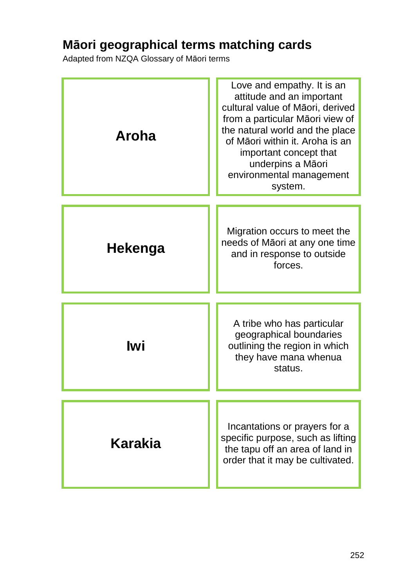## **Māori geographical terms matching cards**

Adapted from NZQA Glossary of Māori terms

| Aroha   | Love and empathy. It is an<br>attitude and an important<br>cultural value of Māori, derived<br>from a particular Māori view of<br>the natural world and the place<br>of Māori within it. Aroha is an<br>important concept that<br>underpins a Māori<br>environmental management<br>system. |
|---------|--------------------------------------------------------------------------------------------------------------------------------------------------------------------------------------------------------------------------------------------------------------------------------------------|
| Hekenga | Migration occurs to meet the<br>needs of Māori at any one time<br>and in response to outside<br>forces.                                                                                                                                                                                    |
| lwi     | A tribe who has particular<br>geographical boundaries<br>outlining the region in which<br>they have mana whenua<br>status.                                                                                                                                                                 |
| Karakia | Incantations or prayers for a<br>specific purpose, such as lifting<br>the tapu off an area of land in<br>order that it may be cultivated.                                                                                                                                                  |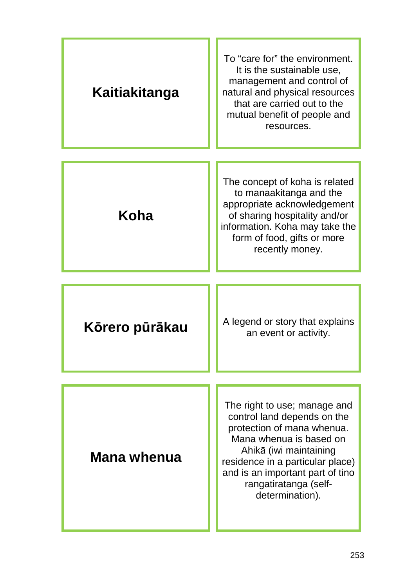| Kaitiakitanga  | To "care for" the environment.<br>It is the sustainable use,<br>management and control of<br>natural and physical resources<br>that are carried out to the<br>mutual benefit of people and<br>resources.                                                           |
|----------------|--------------------------------------------------------------------------------------------------------------------------------------------------------------------------------------------------------------------------------------------------------------------|
| Koha           | The concept of koha is related<br>to manaakitanga and the<br>appropriate acknowledgement<br>of sharing hospitality and/or<br>information. Koha may take the<br>form of food, gifts or more<br>recently money.                                                      |
| Kōrero pūrākau | A legend or story that explains<br>an event or activity.                                                                                                                                                                                                           |
| Mana whenua    | The right to use; manage and<br>control land depends on the<br>protection of mana whenua.<br>Mana whenua is based on<br>Ahikā (iwi maintaining<br>residence in a particular place)<br>and is an important part of tino<br>rangatiratanga (self-<br>determination). |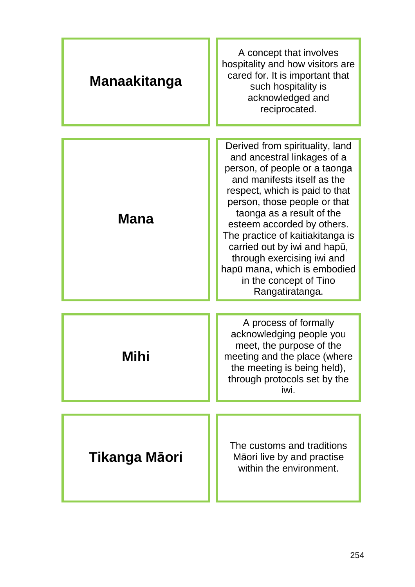| A concept that involves<br>hospitality and how visitors are<br>cared for. It is important that<br>such hospitality is<br>acknowledged and<br>reciprocated.                                                                                                                                                                                                                                                                                 |
|--------------------------------------------------------------------------------------------------------------------------------------------------------------------------------------------------------------------------------------------------------------------------------------------------------------------------------------------------------------------------------------------------------------------------------------------|
| Derived from spirituality, land<br>and ancestral linkages of a<br>person, of people or a taonga<br>and manifests itself as the<br>respect, which is paid to that<br>person, those people or that<br>taonga as a result of the<br>esteem accorded by others.<br>The practice of kaitiakitanga is<br>carried out by iwi and hapū,<br>through exercising iwi and<br>hapū mana, which is embodied<br>in the concept of Tino<br>Rangatiratanga. |
| A process of formally<br>acknowledging people you<br>meet, the purpose of the<br>meeting and the place (where<br>the meeting is being held),<br>through protocols set by the<br>iwi.                                                                                                                                                                                                                                                       |
| The customs and traditions<br>Māori live by and practise<br>within the environment.                                                                                                                                                                                                                                                                                                                                                        |
|                                                                                                                                                                                                                                                                                                                                                                                                                                            |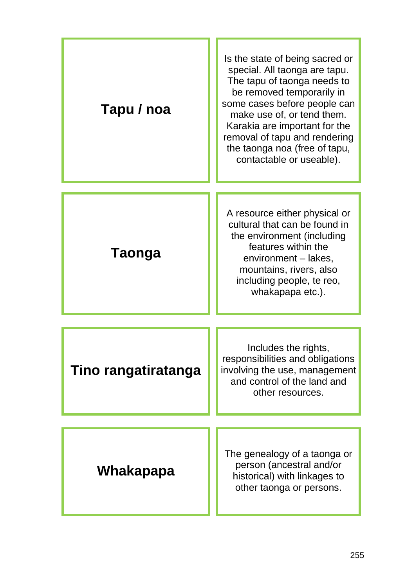| Tapu / noa          | Is the state of being sacred or<br>special. All taonga are tapu.<br>The tapu of taonga needs to<br>be removed temporarily in<br>some cases before people can<br>make use of, or tend them.<br>Karakia are important for the<br>removal of tapu and rendering<br>the taonga noa (free of tapu,<br>contactable or useable). |
|---------------------|---------------------------------------------------------------------------------------------------------------------------------------------------------------------------------------------------------------------------------------------------------------------------------------------------------------------------|
| <b>Taonga</b>       | A resource either physical or<br>cultural that can be found in<br>the environment (including<br>features within the<br>environment – lakes,<br>mountains, rivers, also<br>including people, te reo,<br>whakapapa etc.).                                                                                                   |
| Tino rangatiratanga | Includes the rights,<br>responsibilities and obligations<br>involving the use, management<br>and control of the land and<br>other resources.                                                                                                                                                                              |
| Whakapapa           | The genealogy of a taonga or<br>person (ancestral and/or<br>historical) with linkages to<br>other taonga or persons.                                                                                                                                                                                                      |